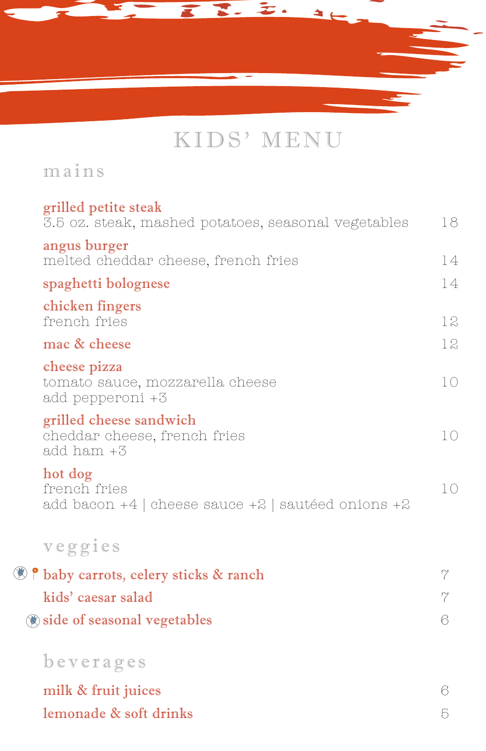

# KIDS' MENU

mains

传

| grilled petite steak                                                                |          |
|-------------------------------------------------------------------------------------|----------|
| 3.5 oz. steak, mashed potatoes, seasonal vegetables                                 | 18       |
| angus burger<br>melted cheddar cheese, french fries                                 | 14       |
| spaghetti bolognese                                                                 | 14       |
| chicken fingers<br>french fries                                                     | 12       |
| mac & cheese                                                                        | 12       |
| cheese pizza<br>tomato sauce, mozzarella cheese<br>add pepperoni +3                 | 10       |
| grilled cheese sandwich<br>cheddar cheese, french fries<br>add ham +3               | 10       |
| hot dog<br>french fries<br>add bacon $+4$   cheese sauce $+2$   sautéed onions $+2$ | 10       |
| veggies                                                                             |          |
| P baby carrots, celery sticks & ranch                                               | 7        |
| kids' caesar salad                                                                  | $\gamma$ |
| (a) side of seasonal vegetables                                                     | 6        |
| beverages                                                                           |          |
| milk & fruit juices                                                                 | 6        |
| lemonade & soft drinks                                                              | 5        |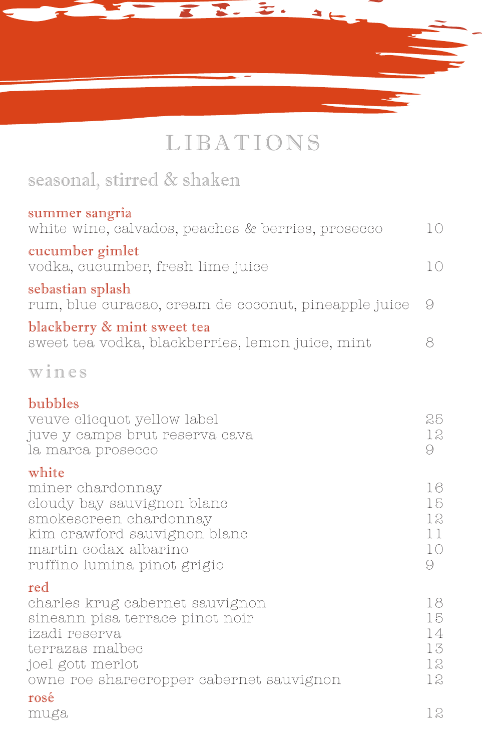

# LIBATIONS

## seasonal, stirred & shaken

| summer sangria<br>white wine, calvados, peaches & berries, prosecco             | 10  |
|---------------------------------------------------------------------------------|-----|
| cucumber gimlet<br>vodka, cucumber, fresh lime juice                            | 10  |
| sebastian splash<br>rum, blue curacao, cream de coconut, pineapple juice        | - 9 |
| blackberry & mint sweet tea<br>sweet tea vodka, blackberries, lemon juice, mint | Χ   |
|                                                                                 |     |

wines

#### bubbles

| veuve clicquot yellow label<br>juve y camps brut reserva cava<br>la marca prosecco                                                                                            | 25<br>12<br>9                    |
|-------------------------------------------------------------------------------------------------------------------------------------------------------------------------------|----------------------------------|
| white<br>miner chardonnay<br>cloudy bay sauvignon blanc<br>smokescreen chardonnay<br>kim crawford sauvignon blanc<br>martin codax albarino<br>ruffino lumina pinot grigio     | 16<br>15<br>12<br>11<br>10<br>9  |
| red<br>charles krug cabernet sauvignon<br>sineann pisa terrace pinot noir<br>izadi reserva<br>terrazas malbec<br>joel gott merlot<br>owne roe sharecropper cabernet sauvignon | 18<br>15<br>14<br>13<br>12<br>12 |
| rosé<br>muga                                                                                                                                                                  | 12                               |